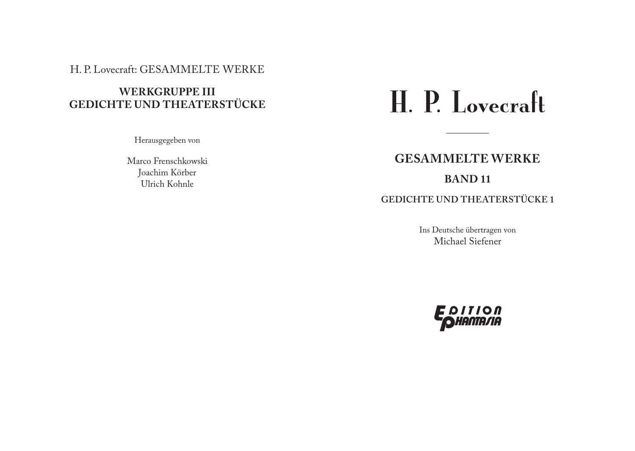### H. P. Lovecraft: GESAMMELTE WERKE

# **WERKGRUPPE III GEDICHTE UND THEATERSTÜCKE**

Herausgegeben von

Marco Frenschkowski Joachim Körber Ulrich Kohnle

# H. P. Lovecraft

# **GESAMMELTE WERKE BAND 11**

# **GEDICHTE UND THEATERSTÜCKE 1**

Ins Deutsche übertragen von Michael Siefener

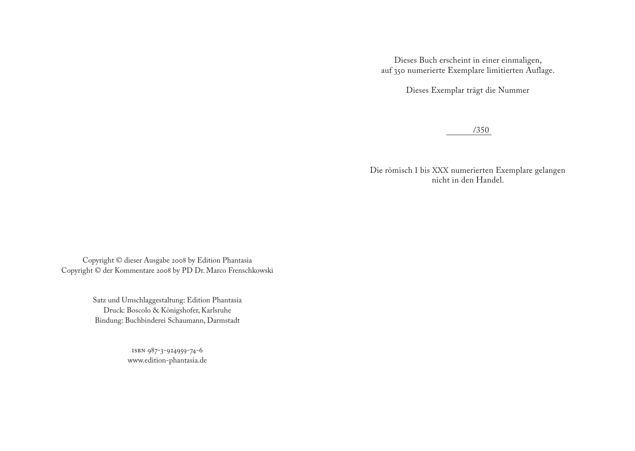Dieses Buch erscheint in einer einmaligen, auf 350 numerierte Exemplare limitierten Auflage.

Dieses Exemplar trägt die Nummer

/350

Die römisch I bis XXX numerierten Exemplare gelangen nicht in den Handel.

Copyright © dieser Ausgabe 2008 by Edition Phantasia Copyright © der Kommentare 2008 by PD Dr. Marco Frenschkowski

> Satz und Umschlaggestaltung: Edition Phantasia Druck: Boscolo & Königshofer, Karlsruhe Bindung: Buchbinderei Schaumann, Darmstadt

> > ISBN 987-3-924959-74-6 www.edition-phantasia.de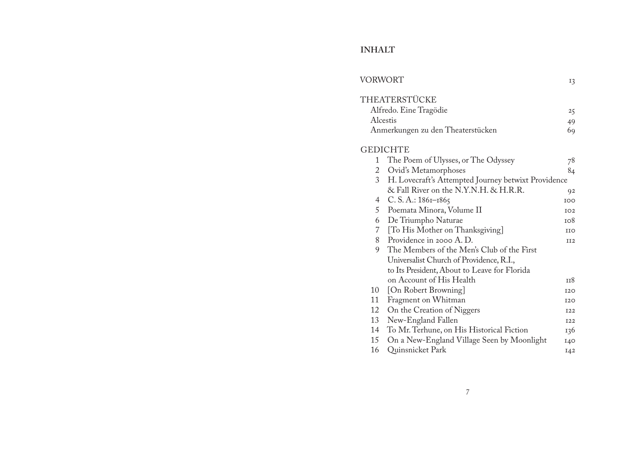# **INHALT**

| VORWORT  |                                                     | 13              |
|----------|-----------------------------------------------------|-----------------|
|          | THEATERSTÜCKE                                       |                 |
|          | Alfredo. Eine Tragödie                              | 25              |
| Alcestis |                                                     | 49              |
|          | Anmerkungen zu den Theaterstücken                   | 69              |
|          | <b>GEDICHTE</b>                                     |                 |
| 1        | The Poem of Ulysses, or The Odyssey                 | 78              |
| 2        | Ovid's Metamorphoses                                | 84              |
| 3        | H. Lovecraft's Attempted Journey betwixt Providence |                 |
|          | & Fall River on the N.Y.N.H. & H.R.R.               | 92              |
| 4        | $C. S. A.: 186I-1865$                               | IOO             |
| 5        | Poemata Minora, Volume II                           | IO <sub>2</sub> |
| 6        | De Triumpho Naturae                                 | 108             |
|          | 7 [To His Mother on Thanksgiving]                   | <b>IIO</b>      |
| 8        | Providence in 2000 A.D.                             | II2             |
| 9        | The Members of the Men's Club of the First          |                 |
|          | Universalist Church of Providence, R.I.,            |                 |
|          | to Its President, About to Leave for Florida        |                 |
|          | on Account of His Health                            | 118             |
| 10       | [On Robert Browning]                                | <b>I2O</b>      |
| 11       | Fragment on Whitman                                 | <b>I2O</b>      |
| 12       | On the Creation of Niggers                          | <b>I22</b>      |
| 13       | New-England Fallen                                  | <b>I22</b>      |
| 14       | To Mr. Terhune, on His Historical Fiction           | 136             |
| 15       | On a New-England Village Seen by Moonlight          | 140             |
| 16       | Quinsnicket Park                                    | I42             |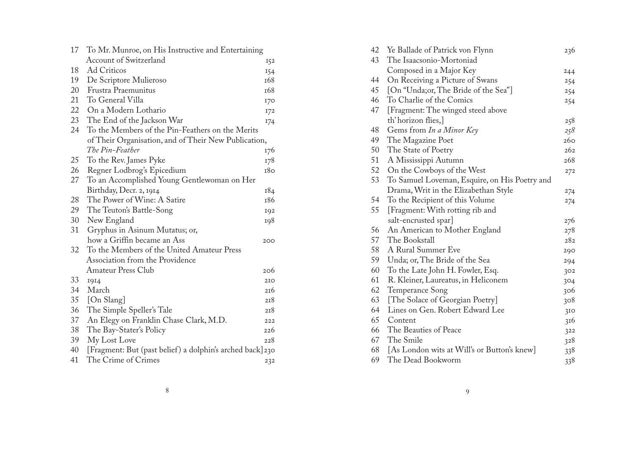| 17 | To Mr. Munroe, on His Instructive and Entertaining       |     |
|----|----------------------------------------------------------|-----|
|    | <b>Account of Switzerland</b>                            | 152 |
| 18 | Ad Criticos                                              | 154 |
| 19 | De Scriptore Mulieroso                                   | 168 |
| 20 | Frustra Praemunitus                                      | 168 |
| 21 | To General Villa                                         | I70 |
| 22 | On a Modern Lothario                                     | 172 |
| 23 | The End of the Jackson War                               | 174 |
| 24 | To the Members of the Pin-Feathers on the Merits         |     |
|    | of Their Organisation, and of Their New Publication,     |     |
|    | The Pin-Feather                                          | 176 |
| 25 | To the Rev. James Pyke                                   | 178 |
| 26 | Regner Lodbrog's Epicedium                               | 180 |
| 27 | To an Accomplished Young Gentlewoman on Her              |     |
|    | Birthday, Decr. 2, 1914                                  | 184 |
| 28 | The Power of Wine: A Satire                              | 186 |
| 29 | The Teuton's Battle-Song                                 | 192 |
| 30 | New England                                              | 198 |
| 31 | Gryphus in Asinum Mutatus; or,                           |     |
|    | how a Griffin became an Ass                              | 200 |
| 32 | To the Members of the United Amateur Press               |     |
|    | Association from the Providence                          |     |
|    | <b>Amateur Press Club</b>                                | 206 |
| 33 | 1914                                                     | 2IO |
| 34 | March                                                    | 216 |
| 35 | [On Slang]                                               | 218 |
| 36 | The Simple Speller's Tale                                | 218 |
| 37 | An Elegy on Franklin Chase Clark, M.D.                   | 222 |
| 38 | The Bay-Stater's Policy                                  | 226 |
| 39 | My Lost Love                                             | 228 |
| 40 | [Fragment: But (past belief) a dolphin's arched back]230 |     |
| 41 | The Crime of Crimes                                      | 232 |
|    |                                                          |     |

| 42 | Ye Ballade of Patrick von Flynn               | 236             |
|----|-----------------------------------------------|-----------------|
| 43 | The Isaacsonio-Mortoniad                      |                 |
|    | Composed in a Major Key                       | 244             |
| 44 | On Receiving a Picture of Swans               | 254             |
| 45 | [On "Unda;or, The Bride of the Sea"]          | 254             |
| 46 | To Charlie of the Comics                      | 254             |
| 47 | [Fragment: The winged steed above             |                 |
|    | th' horizon flies,                            | 258             |
| 48 | Gems from In a Minor Key                      | 258             |
| 49 | The Magazine Poet                             | 260             |
| 50 | The State of Poetry                           | 262             |
| 51 | A Mississippi Autumn                          | 268             |
| 52 | On the Cowboys of the West                    | 272             |
| 53 | To Samuel Loveman, Esquire, on His Poetry and |                 |
|    | Drama, Writ in the Elizabethan Style          | 274             |
| 54 | To the Recipient of this Volume               | 274             |
| 55 | [Fragment: With rotting rib and               |                 |
|    | salt-encrusted spar]                          | 276             |
| 56 | An American to Mother England                 | 278             |
| 57 | The Bookstall                                 | 282             |
| 58 | A Rural Summer Eve                            | 290             |
| 59 | Unda; or, The Bride of the Sea                | 294             |
| 60 | To the Late John H. Fowler, Esq.              | 302             |
| 61 | R. Kleiner, Laureatus, in Heliconem           | 304             |
| 62 | Temperance Song                               | 306             |
| 63 | [The Solace of Georgian Poetry]               | 308             |
| 64 | Lines on Gen. Robert Edward Lee               | 3I <sub>O</sub> |
| 65 | Content                                       | 316             |
| 66 | The Beauties of Peace                         | 322             |
| 67 | The Smile                                     | 328             |
| 68 | [As London wits at Will's or Button's knew]   | 338             |
| 69 | The Dead Bookworm                             | 338             |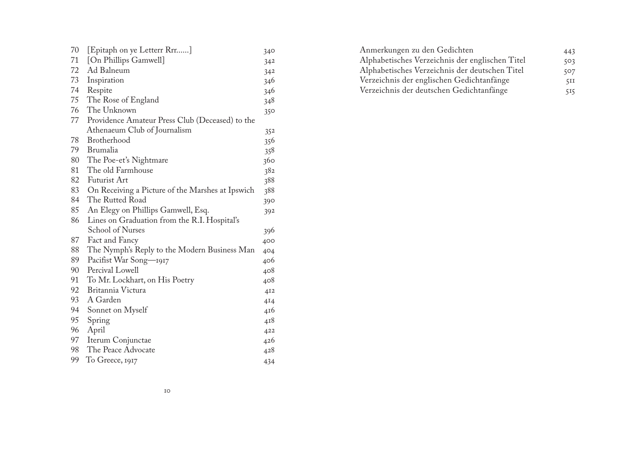| 70 | [Epitaph on ye Letterr Rrr]                      | 340 |
|----|--------------------------------------------------|-----|
| 71 | [On Phillips Gamwell]                            | 342 |
| 72 | Ad Balneum                                       | 342 |
| 73 | Inspiration                                      | 346 |
| 74 | Respite                                          | 346 |
| 75 | The Rose of England                              | 348 |
| 76 | The Unknown                                      | 350 |
| 77 | Providence Amateur Press Club (Deceased) to the  |     |
|    | Athenaeum Club of Journalism                     | 352 |
| 78 | Brotherhood                                      | 356 |
| 79 | Brumalia                                         | 358 |
| 80 | The Poe-et's Nightmare                           | 360 |
| 81 | The old Farmhouse                                | 382 |
| 82 | <b>Futurist Art</b>                              | 388 |
| 83 | On Receiving a Picture of the Marshes at Ipswich | 388 |
| 84 | The Rutted Road                                  | 390 |
| 85 | An Elegy on Phillips Gamwell, Esq.               | 392 |
| 86 | Lines on Graduation from the R.I. Hospital's     |     |
|    | School of Nurses                                 | 396 |
| 87 | Fact and Fancy                                   | 400 |
| 88 | The Nymph's Reply to the Modern Business Man     | 404 |
| 89 | Pacifist War Song-1917                           | 406 |
| 90 | Percival Lowell                                  | 408 |
| 91 | To Mr. Lockhart, on His Poetry                   | 408 |
| 92 | Britannia Victura                                | 412 |
| 93 | A Garden                                         | 414 |
| 94 | Sonnet on Myself                                 | 416 |
| 95 | Spring                                           | 418 |
| 96 | April                                            | 422 |
| 97 | Iterum Conjunctae                                | 426 |
| 98 | The Peace Advocate                               | 428 |
| 99 | To Greece, 1917                                  | 434 |
|    |                                                  |     |

| Anmerkungen zu den Gedichten                    | 443 |
|-------------------------------------------------|-----|
| Alphabetisches Verzeichnis der englischen Titel | 503 |
| Alphabetisches Verzeichnis der deutschen Titel  | 507 |
| Verzeichnis der englischen Gedichtanfänge       | 5II |
| Verzeichnis der deutschen Gedichtanfänge        | 515 |
|                                                 |     |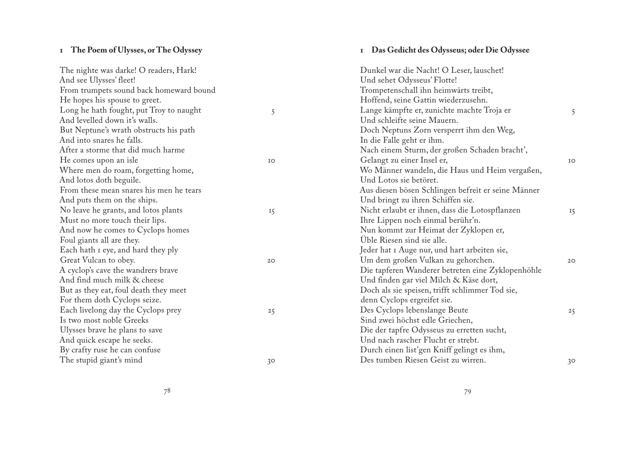# <span id="page-5-0"></span>**1 The Poem of Ulysses, or The Odyssey**

| The nighte was darke! O readers, Hark!  |           | Dunkel war die Nacht! O Leser, lauschet!           |                |
|-----------------------------------------|-----------|----------------------------------------------------|----------------|
| And see Ulysses' fleet!                 |           | Und sehet Odysseus' Flotte!                        |                |
| From trumpets sound back homeward bound |           | Trompetenschall ihn heimwärts treibt,              |                |
| He hopes his spouse to greet.           |           | Hoffend, seine Gattin wiederzusehn.                |                |
| Long he hath fought, put Troy to naught | 5         | Lange kämpfte er, zunichte machte Troja er         | 5              |
| And levelled down it's walls.           |           | Und schleifte seine Mauern.                        |                |
| But Neptune's wrath obstructs his path  |           | Doch Neptuns Zorn versperrt ihm den Weg,           |                |
| And into snares he falls.               |           | In die Falle geht er ihm.                          |                |
| After a storme that did much harme      |           | Nach einem Sturm, der großen Schaden bracht',      |                |
| He comes upon an isle                   | IO        | Gelangt zu einer Insel er,                         | IO             |
| Where men do roam, forgetting home,     |           | Wo Männer wandeln, die Haus und Heim vergaßen,     |                |
| And lotos doth beguile.                 |           | Und Lotos sie betöret.                             |                |
| From these mean snares his men he tears |           | Aus diesen bösen Schlingen befreit er seine Männer |                |
| And puts them on the ships.             |           | Und bringt zu ihren Schiffen sie.                  |                |
| No leave he grants, and lotos plants    | <b>15</b> | Nicht erlaubt er ihnen, dass die Lotospflanzen     | 15             |
| Must no more touch their lips.          |           | Ihre Lippen noch einmal berühr'n.                  |                |
| And now he comes to Cyclops homes       |           | Nun kommt zur Heimat der Zyklopen er,              |                |
| Foul giants all are they.               |           | Üble Riesen sind sie alle.                         |                |
| Each hath I eye, and hard they ply      |           | Jeder hat I Auge nur, und hart arbeiten sie,       |                |
| Great Vulcan to obey.                   | 20        | Um dem großen Vulkan zu gehorchen.                 | 20             |
| A cyclop's cave the wandrers brave      |           | Die tapferen Wanderer betreten eine Zyklopenhöhle  |                |
| And find much milk & cheese             |           | Und finden gar viel Milch & Käse dort,             |                |
| But as they eat, foul death they meet   |           | Doch als sie speisen, trifft schlimmer Tod sie,    |                |
| For them doth Cyclops seize.            |           | denn Cyclops ergreifet sie.                        |                |
| Each livelong day the Cyclops prey      | 25        | Des Cyclops lebenslange Beute                      | 25             |
| Is two most noble Greeks                |           | Sind zwei höchst edle Griechen,                    |                |
| Ulysses brave he plans to save          |           | Die der tapfre Odysseus zu erretten sucht,         |                |
| And quick escape he seeks.              |           | Und nach rascher Flucht er strebt.                 |                |
| By crafty ruse he can confuse           |           | Durch einen list'gen Kniff gelingt es ihm,         |                |
| The stupid giant's mind                 | 30        | Des tumben Riesen Geist zu wirren.                 | 3 <sup>o</sup> |
|                                         |           |                                                    |                |

**1 Das Gedicht des Odysseus; oder Die Odyssee**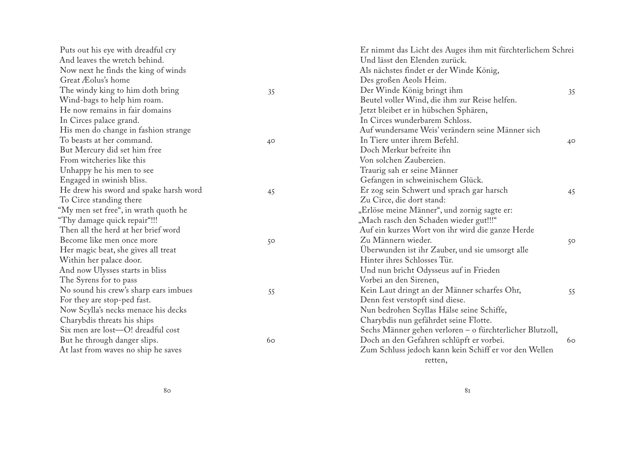| Puts out his eye with dreadful cry     |    | Er nimmt das Licht des Auges ihm mit fürchterlichem Schrei |    |
|----------------------------------------|----|------------------------------------------------------------|----|
| And leaves the wretch behind.          |    | Und lässt den Elenden zurück.                              |    |
| Now next he finds the king of winds    |    | Als nächstes findet er der Winde König,                    |    |
| Great Æolus's home                     |    | Des großen Aeols Heim.                                     |    |
| The windy king to him doth bring       | 35 | Der Winde König bringt ihm                                 | 35 |
| Wind-bags to help him roam.            |    | Beutel voller Wind, die ihm zur Reise helfen.              |    |
| He now remains in fair domains         |    | Jetzt bleibet er in hübschen Sphären,                      |    |
| In Circes palace grand.                |    | In Circes wunderbarem Schloss.                             |    |
| His men do change in fashion strange   |    | Auf wundersame Weis' verändern seine Männer sich           |    |
| To beasts at her command.              | 40 | In Tiere unter ihrem Befehl.                               | 40 |
| But Mercury did set him free           |    | Doch Merkur befreite ihn                                   |    |
| From witcheries like this              |    | Von solchen Zaubereien.                                    |    |
| Unhappy he his men to see              |    | Traurig sah er seine Männer                                |    |
| Engaged in swinish bliss.              |    | Gefangen in schweinischem Glück.                           |    |
| He drew his sword and spake harsh word | 45 | Er zog sein Schwert und sprach gar harsch                  | 45 |
| To Circe standing there                |    | Zu Circe, die dort stand:                                  |    |
| "My men set free", in wrath quoth he   |    | "Erlöse meine Männer", und zornig sagte er:                |    |
| "Thy damage quick repair"!!!           |    | "Mach rasch den Schaden wieder gut!!!"                     |    |
| Then all the herd at her brief word    |    | Auf ein kurzes Wort von ihr wird die ganze Herde           |    |
| Become like men once more              | 50 | Zu Männern wieder.                                         | 50 |
| Her magic beat, she gives all treat    |    | Überwunden ist ihr Zauber, und sie umsorgt alle            |    |
| Within her palace door.                |    | Hinter ihres Schlosses Tür.                                |    |
| And now Ulysses starts in bliss        |    | Und nun bricht Odysseus auf in Frieden                     |    |
| The Syrens for to pass                 |    | Vorbei an den Sirenen,                                     |    |
| No sound his crew's sharp ears imbues  | 55 | Kein Laut dringt an der Männer scharfes Ohr,               | 55 |
| For they are stop-ped fast.            |    | Denn fest verstopft sind diese.                            |    |
| Now Scylla's necks menace his decks    |    | Nun bedrohen Scyllas Hälse seine Schiffe,                  |    |
| Charybdis threats his ships            |    | Charybdis nun gefährdet seine Flotte.                      |    |
| Six men are lost-O! dreadful cost      |    | Sechs Männer gehen verloren - o fürchterlicher Blutzoll,   |    |
| But he through danger slips.           | 60 | Doch an den Gefahren schlüpft er vorbei.                   | 60 |
| At last from waves no ship he saves    |    | Zum Schluss jedoch kann kein Schiff er vor den Wellen      |    |
|                                        |    | retten,                                                    |    |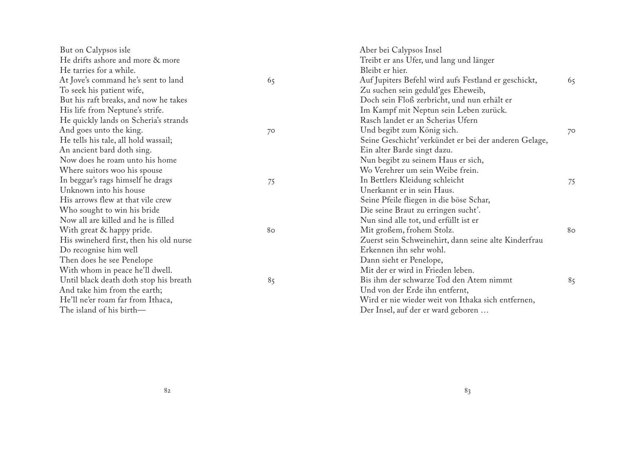| But on Calypsos isle                    |    | Aber bei Calypsos Insel                               |           |
|-----------------------------------------|----|-------------------------------------------------------|-----------|
| He drifts ashore and more & more        |    | Treibt er ans Ufer, und lang und länger               |           |
| He tarries for a while.                 |    | Bleibt er hier.                                       |           |
| At Jove's command he's sent to land     | 65 | Auf Jupiters Befehl wird aufs Festland er geschickt,  | 65        |
| To seek his patient wife,               |    | Zu suchen sein geduld'ges Eheweib,                    |           |
| But his raft breaks, and now he takes   |    | Doch sein Floß zerbricht, und nun erhält er           |           |
| His life from Neptune's strife.         |    | Im Kampf mit Neptun sein Leben zurück.                |           |
| He quickly lands on Scheria's strands   |    | Rasch landet er an Scherias Ufern                     |           |
| And goes unto the king.                 | 70 | Und begibt zum König sich.                            | $7^\circ$ |
| He tells his tale, all hold wassail;    |    | Seine Geschicht' verkündet er bei der anderen Gelage, |           |
| An ancient bard doth sing.              |    | Ein alter Barde singt dazu.                           |           |
| Now does he roam unto his home          |    | Nun begibt zu seinem Haus er sich,                    |           |
| Where suitors woo his spouse            |    | Wo Verehrer um sein Weibe frein.                      |           |
| In beggar's rags himself he drags       | 75 | In Bettlers Kleidung schleicht                        | 75        |
| Unknown into his house                  |    | Unerkannt er in sein Haus.                            |           |
| His arrows flew at that vile crew       |    | Seine Pfeile fliegen in die böse Schar,               |           |
| Who sought to win his bride             |    | Die seine Braut zu erringen sucht'.                   |           |
| Now all are killed and he is filled     |    | Nun sind alle tot, und erfüllt ist er                 |           |
| With great & happy pride.               | 80 | Mit großem, frohem Stolz.                             | 80        |
| His swineherd first, then his old nurse |    | Zuerst sein Schweinehirt, dann seine alte Kinderfrau  |           |
| Do recognise him well                   |    | Erkennen ihn sehr wohl.                               |           |
| Then does he see Penelope               |    | Dann sieht er Penelope,                               |           |
| With whom in peace he'll dwell.         |    | Mit der er wird in Frieden leben.                     |           |
| Until black death doth stop his breath  | 85 | Bis ihm der schwarze Tod den Atem nimmt               | 85        |
| And take him from the earth;            |    | Und von der Erde ihn entfernt,                        |           |
| He'll ne'er roam far from Ithaca,       |    | Wird er nie wieder weit von Ithaka sich entfernen,    |           |
| The island of his birth-                |    | Der Insel, auf der er ward geboren                    |           |
|                                         |    |                                                       |           |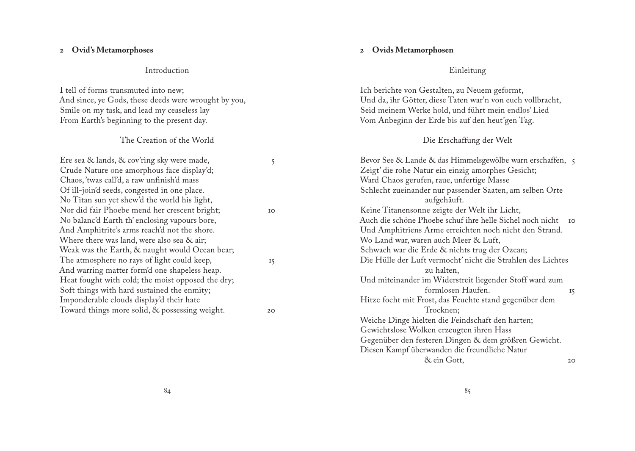#### <span id="page-8-0"></span>**2 Ovid's Metamorphoses**

#### Introduction

I tell of forms transmuted into new; And since, ye Gods, these deeds were wrought by you, Smile on my task, and lead my ceaseless lay From Earth's beginning to the present day.

#### The Creation of the World

| Ere sea & lands, & cov'ring sky were made,        | 5  |
|---------------------------------------------------|----|
| Crude Nature one amorphous face display'd;        |    |
| Chaos, 'twas call'd, a raw unfinish'd mass        |    |
| Of ill-join'd seeds, congested in one place.      |    |
| No Titan sun yet shew'd the world his light,      |    |
| Nor did fair Phoebe mend her crescent bright;     | IO |
| No balanc'd Earth th' enclosing vapours bore,     |    |
| And Amphitrite's arms reach'd not the shore.      |    |
| Where there was land, were also sea & air;        |    |
| Weak was the Earth, & naught would Ocean bear;    |    |
| The atmosphere no rays of light could keep,       | 15 |
| And warring matter form'd one shapeless heap.     |    |
| Heat fought with cold; the moist opposed the dry; |    |
| Soft things with hard sustained the enmity;       |    |
| Imponderable clouds display'd their hate          |    |
| Toward things more solid, & possessing weight.    | 20 |
|                                                   |    |

#### **2 Ovids Metamorphosen**

#### Einleitung

| Ich berichte von Gestalten, zu Neuem geformt,               |    |
|-------------------------------------------------------------|----|
| Und da, ihr Götter, diese Taten war'n von euch vollbracht,  |    |
| Seid meinem Werke hold, und führt mein endlos' Lied         |    |
| Vom Anbeginn der Erde bis auf den heut'gen Tag.             |    |
|                                                             |    |
| Die Erschaffung der Welt                                    |    |
| Bevor See & Lande & das Himmelsgewölbe warn erschaffen, 5   |    |
| Zeigt' die rohe Natur ein einzig amorphes Gesicht;          |    |
| Ward Chaos gerufen, raue, unfertige Masse                   |    |
| Schlecht zueinander nur passender Saaten, am selben Orte    |    |
| aufgehäuft.                                                 |    |
| Keine Titanensonne zeigte der Welt ihr Licht,               |    |
| Auch die schöne Phoebe schuf ihre helle Sichel noch nicht   | IO |
| Und Amphitriens Arme erreichten noch nicht den Strand.      |    |
| Wo Land war, waren auch Meer & Luft,                        |    |
| Schwach war die Erde & nichts trug der Ozean;               |    |
| Die Hülle der Luft vermocht' nicht die Strahlen des Lichtes |    |
| zu halten,                                                  |    |
| Und miteinander im Widerstreit liegender Stoff ward zum     |    |
| formlosen Haufen.                                           | 15 |
| Hitze focht mit Frost, das Feuchte stand gegenüber dem      |    |
| Trocknen;                                                   |    |
| Weiche Dinge hielten die Feindschaft den harten;            |    |
| Gewichtslose Wolken erzeugten ihren Hass                    |    |
| Gegenüber den festeren Dingen & dem größren Gewicht.        |    |
| Diesen Kampf überwanden die freundliche Natur               |    |
| & ein Gott,                                                 | 20 |
|                                                             |    |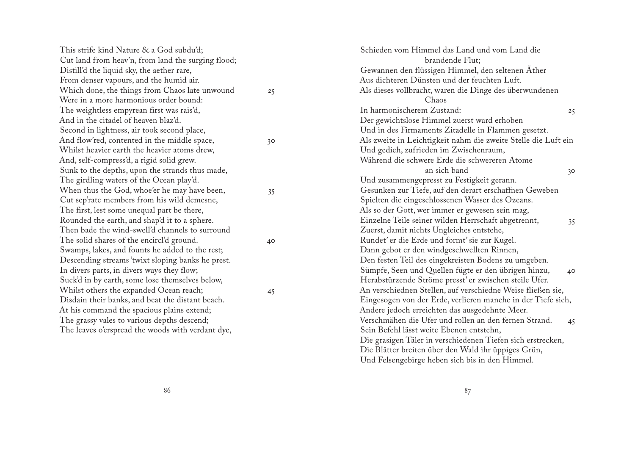| This strife kind Nature & a God subdu'd;           |              | Schieden vom Himmel das Land und vom Land die                  |
|----------------------------------------------------|--------------|----------------------------------------------------------------|
| Cut land from heav'n, from land the surging flood; |              | brandende Flut;                                                |
| Distill'd the liquid sky, the aether rare,         |              | Gewannen den flüssigen Himmel, den seltenen Äther              |
| From denser vapours, and the humid air.            |              | Aus dichteren Dünsten und der feuchten Luft.                   |
| Which done, the things from Chaos late unwound     | 25           | Als dieses vollbracht, waren die Dinge des überwundenen        |
| Were in a more harmonious order bound:             |              | Chaos                                                          |
| The weightless empyrean first was rais'd,          |              | In harmonischerem Zustand:<br>25                               |
| And in the citadel of heaven blaz'd.               |              | Der gewichtslose Himmel zuerst ward erhoben                    |
| Second in lightness, air took second place,        |              | Und in des Firmaments Zitadelle in Flammen gesetzt.            |
| And flow'red, contented in the middle space,       | 30           | Als zweite in Leichtigkeit nahm die zweite Stelle die Luft ein |
| Whilst heavier earth the heavier atoms drew,       |              | Und gedieh, zufrieden im Zwischenraum,                         |
| And, self-compress'd, a rigid solid grew.          |              | Während die schwere Erde die schwereren Atome                  |
| Sunk to the depths, upon the strands thus made,    |              | an sich band<br>30                                             |
| The girdling waters of the Ocean play'd.           |              | Und zusammengepresst zu Festigkeit gerann.                     |
| When thus the God, whoe'er he may have been,       | 35           | Gesunken zur Tiefe, auf den derart erschaffnen Geweben         |
| Cut sep'rate members from his wild demesne,        |              | Spielten die eingeschlossenen Wasser des Ozeans.               |
| The first, lest some unequal part be there,        |              | Als so der Gott, wer immer er gewesen sein mag,                |
| Rounded the earth, and shap'd it to a sphere.      |              | Einzelne Teile seiner wilden Herrschaft abgetrennt,<br>35      |
| Then bade the wind-swell'd channels to surround    |              | Zuerst, damit nichts Ungleiches entstehe,                      |
| The solid shares of the encircl'd ground.          | $40^{\circ}$ | Rundet' er die Erde und formt' sie zur Kugel.                  |
| Swamps, lakes, and founts he added to the rest;    |              | Dann gebot er den windgeschwellten Rinnen,                     |
| Descending streams 'twixt sloping banks he prest.  |              | Den festen Teil des eingekreisten Bodens zu umgeben.           |
| In divers parts, in divers ways they flow;         |              | Sümpfe, Seen und Quellen fügte er den übrigen hinzu,<br>40     |
| Suck'd in by earth, some lose themselves below,    |              | Herabstürzende Ströme presst' er zwischen steile Ufer.         |
| Whilst others the expanded Ocean reach;            | 45           | An verschiednen Stellen, auf verschiedne Weise fließen sie,    |
| Disdain their banks, and beat the distant beach.   |              | Eingesogen von der Erde, verlieren manche in der Tiefe sich,   |
| At his command the spacious plains extend;         |              | Andere jedoch erreichten das ausgedehnte Meer.                 |
| The grassy vales to various depths descend;        |              | Verschmähen die Ufer und rollen an den fernen Strand.<br>45    |
| The leaves o'erspread the woods with verdant dye,  |              | Sein Befehl lässt weite Ebenen entstehn,                       |
|                                                    |              | Die grasigen Täler in verschiedenen Tiefen sich erstrecken,    |
|                                                    |              | Die Blätter breiten über den Wald ihr üppiges Grün,            |
|                                                    |              | Und Felsengebirge heben sich bis in den Himmel.                |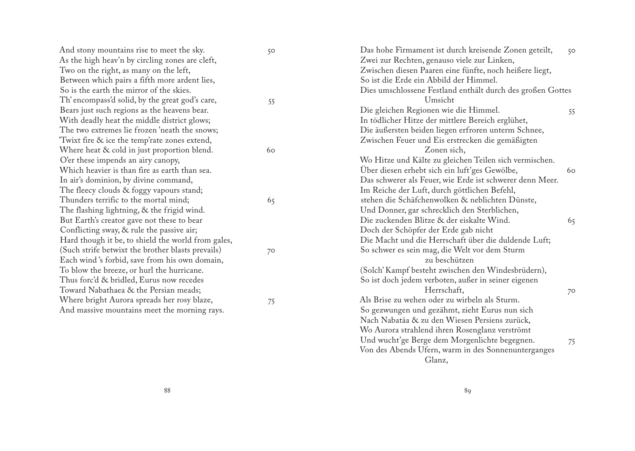| And stony mountains rise to meet the sky.          | 50        | Das hohe Firmament ist durch kreisende Zonen geteilt,      | 50        |
|----------------------------------------------------|-----------|------------------------------------------------------------|-----------|
| As the high heav'n by circling zones are cleft,    |           | Zwei zur Rechten, genauso viele zur Linken,                |           |
| Two on the right, as many on the left,             |           | Zwischen diesen Paaren eine fünfte, noch heißere liegt,    |           |
| Between which pairs a fifth more ardent lies,      |           | So ist die Erde ein Abbild der Himmel.                     |           |
| So is the earth the mirror of the skies.           |           | Dies umschlossene Festland enthält durch des großen Gottes |           |
| Th' encompass'd solid, by the great god's care,    | 55        | Umsicht                                                    |           |
| Bears just such regions as the heavens bear.       |           | Die gleichen Regionen wie die Himmel.                      | 55        |
| With deadly heat the middle district glows;        |           | In tödlicher Hitze der mittlere Bereich erglühet,          |           |
| The two extremes lie frozen 'neath the snows;      |           | Die äußersten beiden liegen erfroren unterm Schnee,        |           |
| Twixt fire & ice the temp'rate zones extend,       |           | Zwischen Feuer und Eis erstrecken die gemäßigten           |           |
| Where heat & cold in just proportion blend.        | 60        | Zonen sich,                                                |           |
| O'er these impends an airy canopy,                 |           | Wo Hitze und Kälte zu gleichen Teilen sich vermischen.     |           |
| Which heavier is than fire as earth than sea.      |           | Über diesen erhebt sich ein luft'ges Gewölbe,              | 60        |
| In air's dominion, by divine command,              |           | Das schwerer als Feuer, wie Erde ist schwerer denn Meer.   |           |
| The fleecy clouds & foggy vapours stand;           |           | Im Reiche der Luft, durch göttlichen Befehl,               |           |
| Thunders terrific to the mortal mind;              | 65        | stehen die Schäfchenwolken & neblichten Dünste,            |           |
| The flashing lightning, & the frigid wind.         |           | Und Donner, gar schrecklich den Sterblichen,               |           |
| But Earth's creator gave not these to bear         |           | Die zuckenden Blitze & der eiskalte Wind.                  | 65        |
| Conflicting sway, & rule the passive air;          |           | Doch der Schöpfer der Erde gab nicht                       |           |
| Hard though it be, to shield the world from gales, |           | Die Macht und die Herrschaft über die duldende Luft;       |           |
| (Such strife betwixt the brother blasts prevails)  | $7^\circ$ | So schwer es sein mag, die Welt vor dem Sturm              |           |
| Each wind's forbid, save from his own domain,      |           | zu beschützen                                              |           |
| To blow the breeze, or hurl the hurricane.         |           | (Solch' Kampf besteht zwischen den Windesbrüdern),         |           |
| Thus forc'd & bridled, Eurus now recedes           |           | So ist doch jedem verboten, außer in seiner eigenen        |           |
| Toward Nabathaea & the Persian meads;              |           | Herrschaft,                                                | $7^\circ$ |
| Where bright Aurora spreads her rosy blaze,        | 75        | Als Brise zu wehen oder zu wirbeln als Sturm.              |           |
| And massive mountains meet the morning rays.       |           | So gezwungen und gezähmt, zieht Eurus nun sich             |           |
|                                                    |           | Nach Nabatäa & zu den Wiesen Persiens zurück,              |           |
|                                                    |           | Wo Aurora strahlend ihren Rosenglanz verströmt             |           |
|                                                    |           | Und wucht'ge Berge dem Morgenlichte begegnen.              | 75        |
|                                                    |           |                                                            |           |

Von des Abends Ufern, warm in des Sonnenunterganges

Glanz,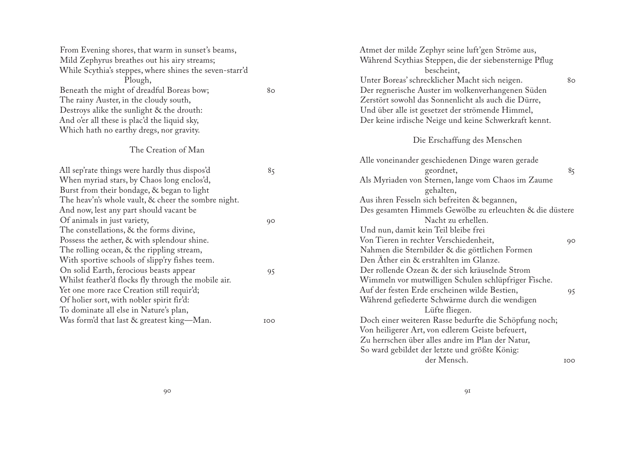| From Evening shores, that warm in sunset's beams,       |     | Atmet der milde Zephyr seine luft'gen Ströme aus,        |    |
|---------------------------------------------------------|-----|----------------------------------------------------------|----|
| Mild Zephyrus breathes out his airy streams;            |     | Während Scythias Steppen, die der siebensternige Pflug   |    |
| While Scythia's steppes, where shines the seven-starr'd |     | bescheint,                                               |    |
| Plough,                                                 |     | Unter Boreas' schrecklicher Macht sich neigen.           | 80 |
| Beneath the might of dreadful Boreas bow;               | 80  | Der regnerische Auster im wolkenverhangenen Süden        |    |
| The rainy Auster, in the cloudy south,                  |     | Zerstört sowohl das Sonnenlicht als auch die Dürre,      |    |
| Destroys alike the sunlight & the drouth:               |     | Und über alle ist gesetzet der strömende Himmel,         |    |
| And o'er all these is plac'd the liquid sky,            |     | Der keine irdische Neige und keine Schwerkraft kennt.    |    |
| Which hath no earthy dregs, nor gravity.                |     |                                                          |    |
|                                                         |     | Die Erschaffung des Menschen                             |    |
| The Creation of Man                                     |     |                                                          |    |
|                                                         |     | Alle voneinander geschiedenen Dinge waren gerade         |    |
| All sep'rate things were hardly thus dispos'd           | 85  | geordnet,                                                | 85 |
| When myriad stars, by Chaos long enclos'd,              |     | Als Myriaden von Sternen, lange vom Chaos im Zaume       |    |
| Burst from their bondage, & began to light              |     | gehalten,                                                |    |
| The heav'n's whole vault, & cheer the sombre night.     |     | Aus ihren Fesseln sich befreiten & begannen,             |    |
| And now, lest any part should vacant be                 |     | Des gesamten Himmels Gewölbe zu erleuchten & die düstere |    |
| Of animals in just variety,                             | 90  | Nacht zu erhellen.                                       |    |
| The constellations, & the forms divine,                 |     | Und nun, damit kein Teil bleibe frei                     |    |
| Possess the aether, & with splendour shine.             |     | Von Tieren in rechter Verschiedenheit,                   | 90 |
| The rolling ocean, & the rippling stream,               |     | Nahmen die Sternbilder & die göttlichen Formen           |    |
| With sportive schools of slipp'ry fishes teem.          |     | Den Äther ein & erstrahlten im Glanze.                   |    |
| On solid Earth, ferocious beasts appear                 | 95  | Der rollende Ozean & der sich kräuselnde Strom           |    |
| Whilst feather'd flocks fly through the mobile air.     |     | Wimmeln vor mutwilligen Schulen schlüpfriger Fische.     |    |
| Yet one more race Creation still requir'd;              |     | Auf der festen Erde erscheinen wilde Bestien,            | 95 |
| Of holier sort, with nobler spirit fir'd:               |     | Während gefiederte Schwärme durch die wendigen           |    |
| To dominate all else in Nature's plan,                  |     | Lüfte fliegen.                                           |    |
| Was form'd that last & greatest king-Man.               | IOO | Doch einer weiteren Rasse bedurfte die Schöpfung noch;   |    |
|                                                         |     | Von heiligerer Art, von edlerem Geiste befeuert,         |    |
|                                                         |     | Zu herrschen über alles andre im Plan der Natur,         |    |
|                                                         |     | So ward gebildet der letzte und größte König:            |    |

der Mensch. 00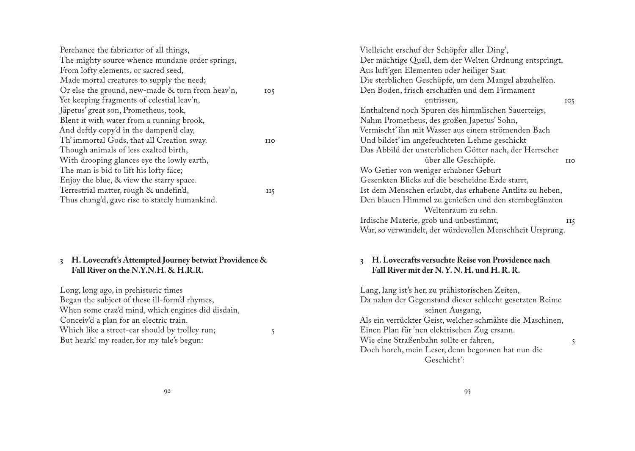<span id="page-12-0"></span>

| Perchance the fabricator of all things,          |                 | Vielleicht erschuf der Schöpfer aller Ding',             |
|--------------------------------------------------|-----------------|----------------------------------------------------------|
| The mighty source whence mundane order springs,  |                 | Der mächtige Quell, dem der Welten Ordnung entspringt,   |
| From lofty elements, or sacred seed,             |                 | Aus luft'gen Elementen oder heiliger Saat                |
| Made mortal creatures to supply the need;        |                 | Die sterblichen Geschöpfe, um dem Mangel abzuhelfen.     |
| Or else the ground, new-made & torn from heav'n, | IO <sub>5</sub> | Den Boden, frisch erschaffen und dem Firmament           |
| Yet keeping fragments of celestial leav'n,       |                 | entrissen,                                               |
| Jäpetus' great son, Prometheus, took,            |                 | Enthaltend noch Spuren des himmlischen Sauerteigs,       |
| Blent it with water from a running brook,        |                 | Nahm Prometheus, des großen Japetus' Sohn,               |
| And deftly copy'd in the dampen'd clay,          |                 | Vermischt' ihn mit Wasser aus einem strömenden Bach      |
| Th' immortal Gods, that all Creation sway.       | <b>IIO</b>      | Und bildet' im angefeuchteten Lehme geschickt            |
| Though animals of less exalted birth,            |                 | Das Abbild der unsterblichen Götter nach, der Herrscher  |
| With drooping glances eye the lowly earth,       |                 | über alle Geschöpfe.                                     |
| The man is bid to lift his lofty face;           |                 | Wo Getier von weniger erhabner Geburt                    |
| Enjoy the blue, & view the starry space.         |                 | Gesenkten Blicks auf die bescheidne Erde starrt,         |
| Terrestrial matter, rough & undefin'd,           | II5             | Ist dem Menschen erlaubt, das erhabene Antlitz zu heben, |
| Thus chang'd, gave rise to stately humankind.    |                 | Den blauen Himmel zu genießen und den sternbeglänzten    |
|                                                  |                 |                                                          |

#### **3 H. Lovecraft's Attempted Journey betwixt Providence & Fall River on the N.Y.N.H. & H.R.R.**

Long, long ago, in prehistoric times Began the subject of these ill-form'd rhymes, When some craz'd mind, which engines did disdain, Conceiv'd a plan for an electric train. Which like a street-car should by trolley run; 5 But heark! my reader, for my tale's begun:

| über alle Geschöpfe.                                     | <b>IIO</b> |
|----------------------------------------------------------|------------|
| Wo Getier von weniger erhabner Geburt                    |            |
| Gesenkten Blicks auf die bescheidne Erde starrt,         |            |
| Ist dem Menschen erlaubt, das erhabene Antlitz zu heben, |            |
| Den blauen Himmel zu genießen und den sternbeglänzten    |            |
| Weltenraum zu sehn.                                      |            |
| Irdische Materie, grob und unbestimmt,                   | II5        |
| War, so verwandelt, der würdevollen Menschheit Ursprung. |            |
|                                                          |            |
|                                                          |            |

entrissen, 105

#### **3 H. Lovecrafts versuchte Reise von Providence nach Fall River mit der N. Y. N. H. und H. R. R.**

Lang, lang ist's her, zu prähistorischen Zeiten, Da nahm der Gegenstand dieser schlecht gesetzten Reime seinen Ausgang, Als ein verrückter Geist, welcher schmähte die Maschinen, Einen Plan für 'nen elektrischen Zug ersann. Wie eine Straßenbahn sollte er fahren, 5 Doch horch, mein Leser, denn begonnen hat nun die Geschicht':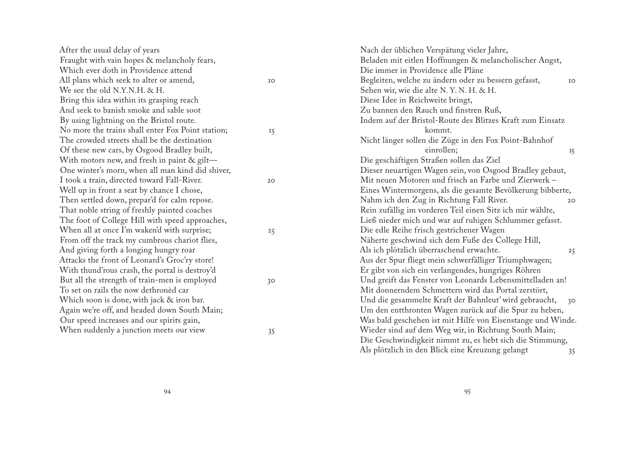| After the usual delay of years                    |           | Nach der üblichen Verspätung vieler Jahre,                   |  |
|---------------------------------------------------|-----------|--------------------------------------------------------------|--|
| Fraught with vain hopes & melancholy fears,       |           | Beladen mit eitlen Hoffnungen & melancholischer Angst,       |  |
| Which ever doth in Providence attend              |           | Die immer in Providence alle Pläne                           |  |
| All plans which seek to alter or amend,           | IO        | Begleiten, welche zu ändern oder zu bessern gefasst,<br>IO   |  |
| We see the old N.Y.N.H. & H.                      |           | Sehen wir, wie die alte N.Y.N.H. & H.                        |  |
| Bring this idea within its grasping reach         |           | Diese Idee in Reichweite bringt,                             |  |
| And seek to banish smoke and sable soot           |           | Zu bannen den Rauch und finstren Ruß,                        |  |
| By using lightning on the Bristol route.          |           | Indem auf der Bristol-Route des Blitzes Kraft zum Einsatz    |  |
| No more the trains shall enter Fox Point station; | <b>I5</b> | kommt.                                                       |  |
| The crowded streets shall be the destination      |           | Nicht länger sollen die Züge in den Fox Point-Bahnhof        |  |
| Of these new cars, by Osgood Bradley built,       |           | einrollen;<br>15                                             |  |
| With motors new, and fresh in paint $\&$ gilt-    |           | Die geschäftigen Straßen sollen das Ziel                     |  |
| One winter's morn, when all man kind did shiver,  |           | Dieser neuartigen Wagen sein, von Osgood Bradley gebaut,     |  |
| I took a train, directed toward Fall-River.       | 20        | Mit neuen Motoren und frisch an Farbe und Zierwerk-          |  |
| Well up in front a seat by chance I chose,        |           | Eines Wintermorgens, als die gesamte Bevölkerung bibberte,   |  |
| Then settled down, prepar'd for calm repose.      |           | Nahm ich den Zug in Richtung Fall River.<br>20               |  |
| That noble string of freshly painted coaches      |           | Rein zufällig im vorderen Teil einen Sitz ich mir wählte,    |  |
| The foot of College Hill with speed approaches,   |           | Ließ nieder mich und war auf ruhigen Schlummer gefasst.      |  |
| When all at once I'm waken'd with surprise;       | 25        | Die edle Reihe frisch gestrichener Wagen                     |  |
| From off the track my cumbrous chariot flies,     |           | Näherte geschwind sich dem Fuße des College Hill,            |  |
| And giving forth a longing hungry roar            |           | Als ich plötzlich überraschend erwachte.<br>25               |  |
| Attacks the front of Leonard's Groc'ry store!     |           | Aus der Spur fliegt mein schwerfälliger Triumphwagen;        |  |
| With thund'rous crash, the portal is destroy'd    |           | Er gibt von sich ein verlangendes, hungriges Röhren          |  |
| But all the strength of train-men is employed     | 30        | Und greift das Fenster von Leonards Lebensmittelladen an!    |  |
| To set on rails the now dethroned car             |           | Mit donnerndem Schmettern wird das Portal zerstört,          |  |
| Which soon is done, with jack & iron bar.         |           | Und die gesammelte Kraft der Bahnleut' wird gebraucht,<br>30 |  |
| Again we're off, and headed down South Main;      |           | Um den entthronten Wagen zurück auf die Spur zu heben,       |  |
| Our speed increases and our spirits gain,         |           | Was bald geschehen ist mit Hilfe von Eisenstange und Winde.  |  |
| When suddenly a junction meets our view           | 35        | Wieder sind auf dem Weg wir, in Richtung South Main;         |  |
|                                                   |           | Die Geschwindigkeit nimmt zu, es hebt sich die Stimmung,     |  |
|                                                   |           | Als plötzlich in den Blick eine Kreuzung gelangt<br>35       |  |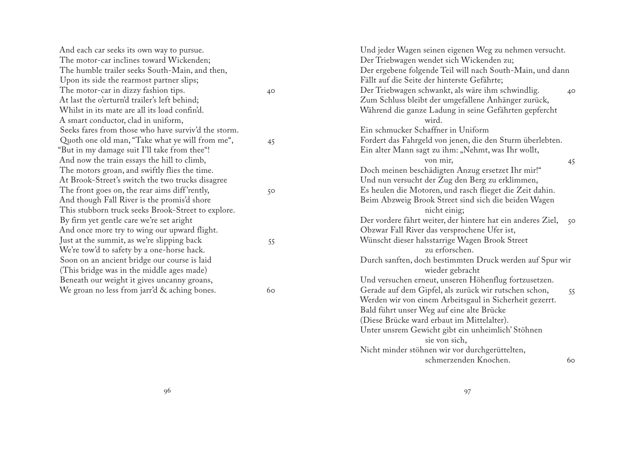| And each car seeks its own way to pursue.           |    | Und jeder Wagen seinen eigenen Weg zu nehmen versucht.      |      |
|-----------------------------------------------------|----|-------------------------------------------------------------|------|
| The motor-car inclines toward Wickenden;            |    | Der Triebwagen wendet sich Wickenden zu;                    |      |
| The humble trailer seeks South-Main, and then,      |    | Der ergebene folgende Teil will nach South-Main, und dann   |      |
| Upon its side the rearmost partner slips;           |    | Fällt auf die Seite der hinterste Gefährte;                 |      |
| The motor-car in dizzy fashion tips.                | 40 | Der Triebwagen schwankt, als wäre ihm schwindlig.           | 40   |
| At last the o'erturn'd trailer's left behind;       |    | Zum Schluss bleibt der umgefallene Anhänger zurück,         |      |
| Whilst in its mate are all its load confin'd.       |    | Während die ganze Ladung in seine Gefährten gepfercht       |      |
| A smart conductor, clad in uniform,                 |    | wird.                                                       |      |
| Seeks fares from those who have surviv'd the storm. |    | Ein schmucker Schaffner in Uniform                          |      |
| Quoth one old man, "Take what ye will from me",     | 45 | Fordert das Fahrgeld von jenen, die den Sturm überlebten.   |      |
| "But in my damage suit I'll take from thee"!        |    | Ein alter Mann sagt zu ihm: "Nehmt, was Ihr wollt,          |      |
| And now the train essays the hill to climb,         |    | von mir,                                                    | 45   |
| The motors groan, and swiftly flies the time.       |    | Doch meinen beschädigten Anzug ersetzet Ihr mir!"           |      |
| At Brook-Street's switch the two trucks disagree    |    | Und nun versucht der Zug den Berg zu erklimmen,             |      |
| The front goes on, the rear aims diff'rently,       | 50 | Es heulen die Motoren, und rasch flieget die Zeit dahin.    |      |
| And though Fall River is the promis'd shore         |    | Beim Abzweig Brook Street sind sich die beiden Wagen        |      |
| This stubborn truck seeks Brook-Street to explore.  |    | nicht einig;                                                |      |
| By firm yet gentle care we're set aright            |    | Der vordere fährt weiter, der hintere hat ein anderes Ziel, | - 50 |
| And once more try to wing our upward flight.        |    | Obzwar Fall River das versprochene Ufer ist,                |      |
| Just at the summit, as we're slipping back          | 55 | Wünscht dieser halsstarrige Wagen Brook Street              |      |
| We're tow'd to safety by a one-horse hack.          |    | zu erforschen.                                              |      |
| Soon on an ancient bridge our course is laid        |    | Durch sanften, doch bestimmten Druck werden auf Spur wir    |      |
| (This bridge was in the middle ages made)           |    | wieder gebracht                                             |      |
| Beneath our weight it gives uncanny groans,         |    | Und versuchen erneut, unseren Höhenflug fortzusetzen.       |      |
| We groan no less from jarr'd & aching bones.        | 60 | Gerade auf dem Gipfel, als zurück wir rutschen schon,       | 55   |
|                                                     |    | Werden wir von einem Arbeitsgaul in Sicherheit gezerrt.     |      |
|                                                     |    | Bald führt unser Weg auf eine alte Brücke                   |      |
|                                                     |    | (Diese Brücke ward erbaut im Mittelalter).                  |      |
|                                                     |    | Unter unsrem Gewicht gibt ein unheimlich' Stöhnen           |      |
|                                                     |    |                                                             |      |

sie von sich,

Nicht minder stöhnen wir vor durchgerüttelten,

schmerzenden Knochen. 60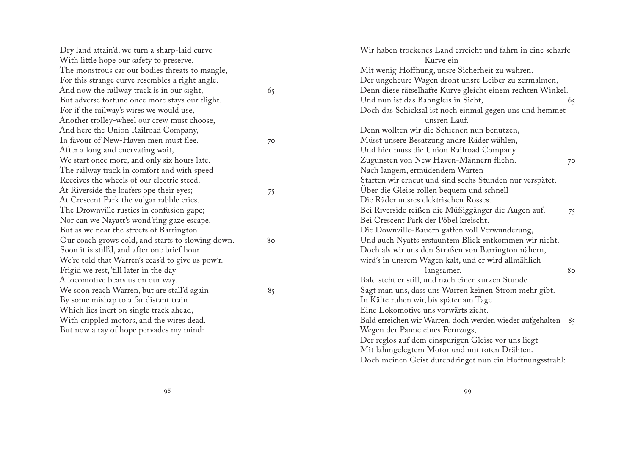| Dry land attain'd, we turn a sharp-laid curve<br>With little hope our safety to preserve. |    | Wir haben trockenes Land erreicht und fahrn in eine scharfe<br>Kurve ein |
|-------------------------------------------------------------------------------------------|----|--------------------------------------------------------------------------|
| The monstrous car our bodies threats to mangle,                                           |    | Mit wenig Hoffnung, unsre Sicherheit zu wahren.                          |
| For this strange curve resembles a right angle.                                           |    | Der ungeheure Wagen droht unsre Leiber zu zermalmen,                     |
| And now the railway track is in our sight,                                                | 65 | Denn diese rätselhafte Kurve gleicht einem rechten Winkel.               |
| But adverse fortune once more stays our flight.                                           |    | Und nun ist das Bahngleis in Sicht,                                      |
| For if the railway's wires we would use,                                                  |    | 65                                                                       |
| Another trolley-wheel our crew must choose,                                               |    | Doch das Schicksal ist noch einmal gegen uns und hemmet<br>unsren Lauf.  |
| And here the Union Railroad Company,                                                      |    | Denn wollten wir die Schienen nun benutzen,                              |
| In favour of New-Haven men must flee.                                                     |    |                                                                          |
|                                                                                           | 70 | Müsst unsere Besatzung andre Räder wählen,                               |
| After a long and enervating wait,                                                         |    | Und hier muss die Union Railroad Company                                 |
| We start once more, and only six hours late.                                              |    | Zugunsten von New Haven-Männern fliehn.<br>70                            |
| The railway track in comfort and with speed                                               |    | Nach langem, ermüdendem Warten                                           |
| Receives the wheels of our electric steed.                                                |    | Starten wir erneut und sind sechs Stunden nur verspätet.                 |
| At Riverside the loafers ope their eyes;                                                  | 75 | Über die Gleise rollen bequem und schnell                                |
| At Crescent Park the vulgar rabble cries.                                                 |    | Die Räder unsres elektrischen Rosses.                                    |
| The Drownville rustics in confusion gape;                                                 |    | Bei Riverside reißen die Müßiggänger die Augen auf,<br>75                |
| Nor can we Nayatt's wond'ring gaze escape.                                                |    | Bei Crescent Park der Pöbel kreischt.                                    |
| But as we near the streets of Barrington                                                  |    | Die Downville-Bauern gaffen voll Verwunderung,                           |
| Our coach grows cold, and starts to slowing down.                                         | 80 | Und auch Nyatts erstauntem Blick entkommen wir nicht.                    |
| Soon it is still'd, and after one brief hour                                              |    | Doch als wir uns den Straßen von Barrington nähern,                      |
| We're told that Warren's ceas'd to give us pow'r.                                         |    | wird's in unsrem Wagen kalt, und er wird allmählich                      |
| Frigid we rest, 'till later in the day                                                    |    | langsamer.<br>80                                                         |
| A locomotive bears us on our way.                                                         |    | Bald steht er still, und nach einer kurzen Stunde                        |
| We soon reach Warren, but are stall'd again                                               | 85 | Sagt man uns, dass uns Warren keinen Strom mehr gibt.                    |
| By some mishap to a far distant train                                                     |    | In Kälte ruhen wir, bis später am Tage                                   |
| Which lies inert on single track ahead,                                                   |    | Eine Lokomotive uns vorwärts zieht.                                      |
| With crippled motors, and the wires dead.                                                 |    | Bald erreichen wir Warren, doch werden wieder aufgehalten 85             |
| But now a ray of hope pervades my mind:                                                   |    | Wegen der Panne eines Fernzugs,                                          |
|                                                                                           |    | Der reglos auf dem einspurigen Gleise vor uns liegt                      |
|                                                                                           |    | Mit lahmgelegtem Motor und mit toten Drähten.                            |
|                                                                                           |    | Doch meinen Geist durchdringet nun ein Hoffnungsstrahl:                  |
|                                                                                           |    |                                                                          |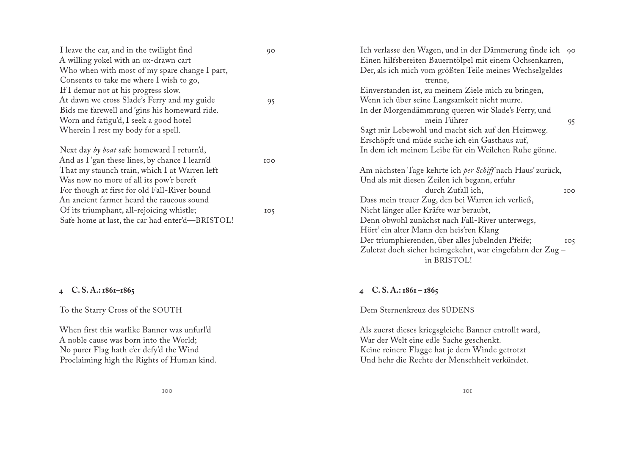<span id="page-16-0"></span>

| I leave the car, and in the twilight find       | 90              | Ich verlasse den Wagen, und in der Dämmerung finde ich 90 |
|-------------------------------------------------|-----------------|-----------------------------------------------------------|
| A willing yokel with an ox-drawn cart           |                 | Einen hilfsbereiten Bauerntölpel mit einem Ochsenkarren,  |
| Who when with most of my spare change I part,   |                 | Der, als ich mich vom größten Teile meines Wechselgeldes  |
| Consents to take me where I wish to go,         |                 | trenne,                                                   |
| If I demur not at his progress slow.            |                 | Einverstanden ist, zu meinem Ziele mich zu bringen,       |
| At dawn we cross Slade's Ferry and my guide     | 95              | Wenn ich über seine Langsamkeit nicht murre.              |
| Bids me farewell and 'gins his homeward ride.   |                 | In der Morgendämmrung queren wir Slade's Ferry, und       |
| Worn and fatigu'd, I seek a good hotel          |                 | mein Führer<br>95                                         |
| Wherein I rest my body for a spell.             |                 | Sagt mir Lebewohl und macht sich auf den Heimweg.         |
|                                                 |                 | Erschöpft und müde suche ich ein Gasthaus auf,            |
| Next day by boat safe homeward I return'd,      |                 | In dem ich meinem Leibe für ein Weilchen Ruhe gönne.      |
| And as I'gan these lines, by chance I learn'd   | <b>IOO</b>      |                                                           |
| That my staunch train, which I at Warren left   |                 | Am nächsten Tage kehrte ich per Schiff nach Haus' zurück, |
| Was now no more of all its pow'r bereft         |                 | Und als mit diesen Zeilen ich begann, erfuhr              |
| For though at first for old Fall-River bound    |                 | durch Zufall ich,<br><b>IOO</b>                           |
| An ancient farmer heard the raucous sound       |                 | Dass mein treuer Zug, den bei Warren ich verließ,         |
| Of its triumphant, all-rejoicing whistle;       | IO <sub>5</sub> | Nicht länger aller Kräfte war beraubt,                    |
| Safe home at last, the car had enter'd-BRISTOL! |                 | Denn obwohl zunächst nach Fall-River unterwegs,           |
|                                                 |                 | Hört' ein alter Mann den heis'ren Klang                   |

#### **4 C. S. A.: 1861–1865**

To the Starry Cross of the SOUTH

When first this warlike Banner was unfurl'd A noble cause was born into the World; No purer Flag hath e'er defy'd the Wind Proclaiming high the Rights of Human kind. **4 C. S. A.: 1861 – 1865**

Dem Sternenkreuz des SÜDENS

Als zuerst dieses kriegsgleiche Banner entrollt ward, War der Welt eine edle Sache geschenkt. Keine reinere Flagge hat je dem Winde getrotzt Und hehr die Rechte der Menschheit verkündet.

in BRISTOL!

Der triumphierenden, über alles jubelnden Pfeife; 05 Zuletzt doch sicher heimgekehrt, war eingefahrn der Zug –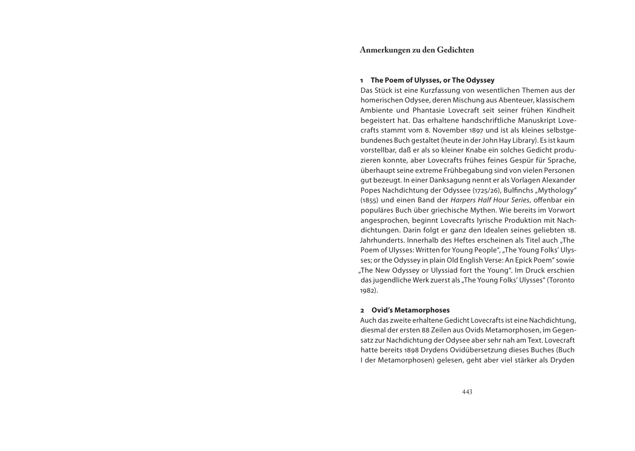#### **Anmerkungen zu den Gedichten**

#### **1 The Poem of Ulysses, or The Odyssey**

Das Stück ist eine Kurzfassung von wesentlichen Themen aus der homerischen Odysee, deren Mischung aus Abenteuer, klassischem Ambiente und Phantasie Lovecraft seit seiner frühen Kindheit begeistert hat. Das erhaltene handschriftliche Manuskript Lovecrafts stammt vom 8. November 1897 und ist als kleines selbstgebundenes Buch gestaltet (heute in der John Hay Library). Es ist kaum vorstellbar, daß er als so kleiner Knabe ein solches Gedicht produzieren konnte, aber Lovecrafts frühes feines Gespür für Sprache, überhaupt seine extreme Frühbegabung sind von vielen Personen gut bezeugt. In einer Danksagung nennt er als Vorlagen Alexander Popes Nachdichtung der Odyssee (1725/26), Bulfinchs "Mythology" (1855) und einen Band der Harpers Half Hour Series, offenbar ein populäres Buch über griechische Mythen. Wie bereits im Vorwort angesprochen, beginnt Lovecrafts lyrische Produktion mit Nachdichtungen. Darin folgt er ganz den Idealen seines geliebten 18. Jahrhunderts. Innerhalb des Heftes erscheinen als Titel auch "The Poem of Ulysses: Written for Young People", "The Young Folks' Ulysses; or the Odyssey in plain Old English Verse: An Epick Poem" sowie "The New Odyssey or Ulyssiad fort the Young". Im Druck erschien das jugendliche Werk zuerst als "The Young Folks' Ulysses" (Toronto 1982).

#### **2 Ovid's Metamorphoses**

Auch das zweite erhaltene Gedicht Lovecrafts ist eine Nachdichtung, diesmal der ersten 88 Zeilen aus Ovids Metamorphosen, im Gegensatz zur Nachdichtung der Odysee aber sehr nah am Text. Lovecraft hatte bereits 1898 Drydens Ovidübersetzung dieses Buches (Buch I der Metamorphosen) gelesen, geht aber viel stärker als Dryden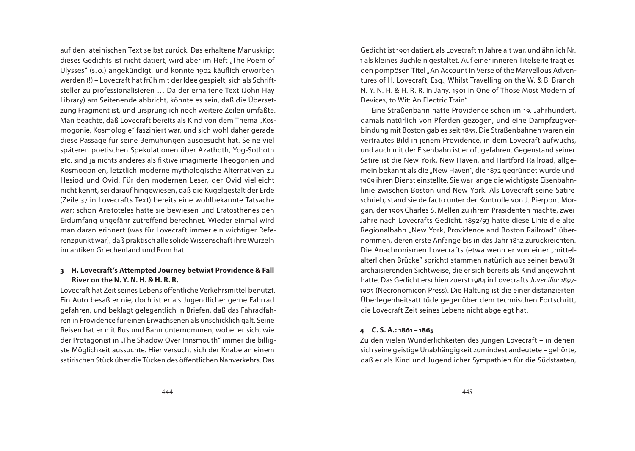auf den lateinischen Text selbst zurück. Das erhaltene Manuskript dieses Gedichts ist nicht datiert, wird aber im Heft "The Poem of Ulysses" (s. o.) angekündigt, und konnte 1902 käuflich erworben werden (!) – Lovecraft hat früh mit der Idee gespielt, sich als Schriftsteller zu professionalisieren … Da der erhaltene Text (John Hay Library) am Seitenende abbricht, könnte es sein, daß die Übersetzung Fragment ist, und ursprünglich noch weitere Zeilen umfaßte. Man beachte, daß Lovecraft bereits als Kind von dem Thema "Kosmogonie, Kosmologie" fasziniert war, und sich wohl daher gerade diese Passage für seine Bemühungen ausgesucht hat. Seine viel späteren poetischen Spekulationen über Azathoth, Yog-Sothoth etc. sind ja nichts anderes als fiktive imaginierte Theogonien und Kosmogonien, letztlich moderne mythologische Alternativen zu Hesiod und Ovid. Für den modernen Leser, der Ovid vielleicht nicht kennt, sei darauf hingewiesen, daß die Kugelgestalt der Erde (Zeile 37 in Lovecrafts Text) bereits eine wohlbekannte Tatsache war; schon Aristoteles hatte sie bewiesen und Eratosthenes den Erdumfang ungefähr zutreffend berechnet. Wieder einmal wird man daran erinnert (was für Lovecraft immer ein wichtiger Referenzpunkt war), daß praktisch alle solide Wissenschaft ihre Wurzeln im antiken Griechenland und Rom hat.

#### **3 H. Lovecraft's Attempted Journey betwixt Providence & Fall River on the N. Y. N. H. & H. R. R.**

Lovecraft hat Zeit seines Lebens öffentliche Verkehrsmittel benutzt. Ein Auto besaß er nie, doch ist er als Jugendlicher gerne Fahrrad gefahren, und beklagt gelegentlich in Briefen, daß das Fahradfahren in Providence für einen Erwachsenen als unschicklich galt. Seine Reisen hat er mit Bus und Bahn unternommen, wobei er sich, wie der Protagonist in "The Shadow Over Innsmouth" immer die billigste Möglichkeit aussuchte. Hier versucht sich der Knabe an einem satirischen Stück über die Tücken des öffentlichen Nahverkehrs. Das

Gedicht ist 1901 datiert, als Lovecraft 11 Jahre alt war, und ähnlich Nr. 1 als kleines Büchlein gestaltet. Auf einer inneren Titelseite trägt es den pompösen Titel "An Account in Verse of the Marvellous Adventures of H. Lovecraft, Esq., Whilst Travelling on the W. & B. Branch N. Y. N. H. & H. R. R. in Jany. 1901 in One of Those Most Modern of Devices, to Wit: An Electric Train".

Eine Straßenbahn hatte Providence schon im 19. Jahrhundert, damals natürlich von Pferden gezogen, und eine Dampfzugverbindung mit Boston gab es seit 1835. Die Straßenbahnen waren ein vertrautes Bild in jenem Providence, in dem Lovecraft aufwuchs, und auch mit der Eisenbahn ist er oft gefahren. Gegenstand seiner Satire ist die New York, New Haven, and Hartford Railroad, allgemein bekannt als die "New Haven", die 1872 gegründet wurde und 1969 ihren Dienst einstellte. Sie war lange die wichtigste Eisenbahnlinie zwischen Boston und New York. Als Lovecraft seine Satire schrieb, stand sie de facto unter der Kontrolle von J. Pierpont Morgan, der 1903 Charles S. Mellen zu ihrem Präsidenten machte, zwei Jahre nach Lovecrafts Gedicht. 1892/93 hatte diese Linie die alte Regionalbahn "New York, Providence and Boston Railroad" übernommen, deren erste Anfänge bis in das Jahr 1832 zurückreichten. Die Anachronismen Lovecrafts (etwa wenn er von einer "mittelalterlichen Brücke" spricht) stammen natürlich aus seiner bewußt archaisierenden Sichtweise, die er sich bereits als Kind angewöhnt hatte. Das Gedicht erschien zuerst 1984 in Lovecrafts Juvenilia: 1897- 1905 (Necronomicon Press). Die Haltung ist die einer distanzierten Überlegenheitsattitüde gegenüber dem technischen Fortschritt, die Lovecraft Zeit seines Lebens nicht abgelegt hat.

#### **4 C. S. A.: 1861 – 1865**

Zu den vielen Wunderlichkeiten des jungen Lovecraft – in denen sich seine geistige Unabhängigkeit zumindest andeutete – gehörte, daß er als Kind und Jugendlicher Sympathien für die Südstaaten,